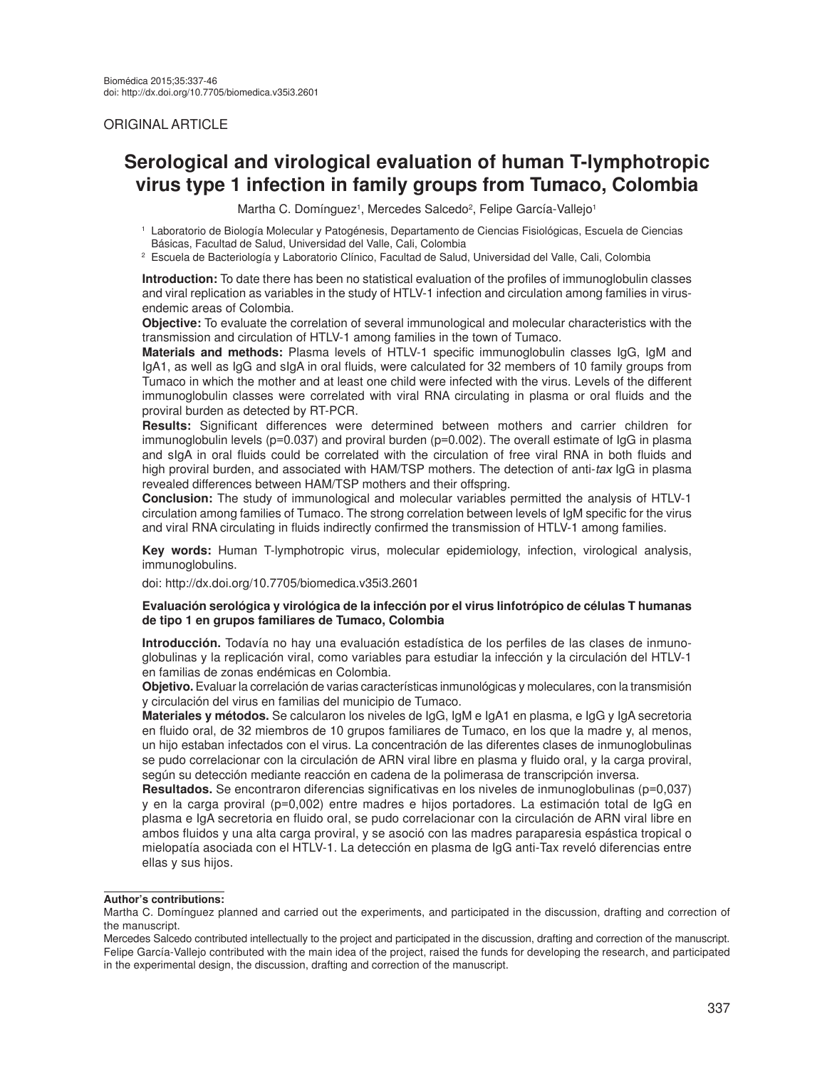# ORIGINAL ARTICLE

# **Serological and virological evaluation of human T-lymphotropic virus type 1 infection in family groups from Tumaco, Colombia**

Martha C. Domínguez<sup>1</sup>, Mercedes Salcedo<sup>2</sup>, Felipe García-Vallejo<sup>1</sup>

<sup>1</sup>Laboratorio de Biología Molecular y Patogénesis, Departamento de Ciencias Fisiológicas, Escuela de Ciencias Básicas, Facultad de Salud, Universidad del Valle, Cali, Colombia

<sup>2</sup>Escuela de Bacteriología y Laboratorio Clínico, Facultad de Salud, Universidad del Valle, Cali, Colombia

**Introduction:** To date there has been no statistical evaluation of the profiles of immunoglobulin classes and viral replication as variables in the study of HTLV-1 infection and circulation among families in virusendemic areas of Colombia.

**Objective:** To evaluate the correlation of several immunological and molecular characteristics with the transmission and circulation of HTLV-1 among families in the town of Tumaco.

**Materials and methods:** Plasma levels of HTLV-1 specific immunoglobulin classes IgG, IgM and IgA1, as well as IgG and sIgA in oral fluids, were calculated for 32 members of 10 family groups from Tumaco in which the mother and at least one child were infected with the virus. Levels of the different immunoglobulin classes were correlated with viral RNA circulating in plasma or oral fluids and the proviral burden as detected by RT-PCR.

**Results:** Significant differences were determined between mothers and carrier children for immunoglobulin levels ( $p=0.037$ ) and proviral burden ( $p=0.002$ ). The overall estimate of IgG in plasma and sIgA in oral fluids could be correlated with the circulation of free viral RNA in both fluids and high proviral burden, and associated with HAM/TSP mothers. The detection of anti-*tax* IgG in plasma revealed differences between HAM/TSP mothers and their offspring.

**Conclusion:** The study of immunological and molecular variables permitted the analysis of HTLV-1 circulation among families of Tumaco. The strong correlation between levels of IgM specific for the virus and viral RNA circulating in fluids indirectly confirmed the transmission of HTLV-1 among families.

**Key words:** Human T-lymphotropic virus, molecular epidemiology, infection, virological analysis, immunoglobulins.

doi: http://dx.doi.org/10.7705/biomedica.v35i3.2601

#### **Evaluación serológica y virológica de la infección por el virus linfotrópico de células T humanas de tipo 1 en grupos familiares de Tumaco, Colombia**

**Introducción.** Todavía no hay una evaluación estadística de los perfiles de las clases de inmunoglobulinas y la replicación viral, como variables para estudiar la infección y la circulación del HTLV-1 en familias de zonas endémicas en Colombia.

**Objetivo.** Evaluar la correlación de varias características inmunológicas y moleculares, con la transmisión y circulación del virus en familias del municipio de Tumaco.

**Materiales y métodos.** Se calcularon los niveles de IgG, IgM e IgA1 en plasma, e IgG y IgA secretoria en fluido oral, de 32 miembros de 10 grupos familiares de Tumaco, en los que la madre y, al menos, un hijo estaban infectados con el virus. La concentración de las diferentes clases de inmunoglobulinas se pudo correlacionar con la circulación de ARN viral libre en plasma y fluido oral, y la carga proviral, según su detección mediante reacción en cadena de la polimerasa de transcripción inversa.

**Resultados.** Se encontraron diferencias significativas en los niveles de inmunoglobulinas (p=0,037) y en la carga proviral (p=0,002) entre madres e hijos portadores. La estimación total de IgG en plasma e IgA secretoria en fluido oral, se pudo correlacionar con la circulación de ARN viral libre en ambos fluidos y una alta carga proviral, y se asoció con las madres paraparesia espástica tropical o mielopatía asociada con el HTLV-1. La detección en plasma de IgG anti-Tax reveló diferencias entre ellas y sus hijos.

#### **Author's contributions:**

Martha C. Domínguez planned and carried out the experiments, and participated in the discussion, drafting and correction of the manuscript.

Mercedes Salcedo contributed intellectually to the project and participated in the discussion, drafting and correction of the manuscript. Felipe García-Vallejo contributed with the main idea of the project, raised the funds for developing the research, and participated in the experimental design, the discussion, drafting and correction of the manuscript.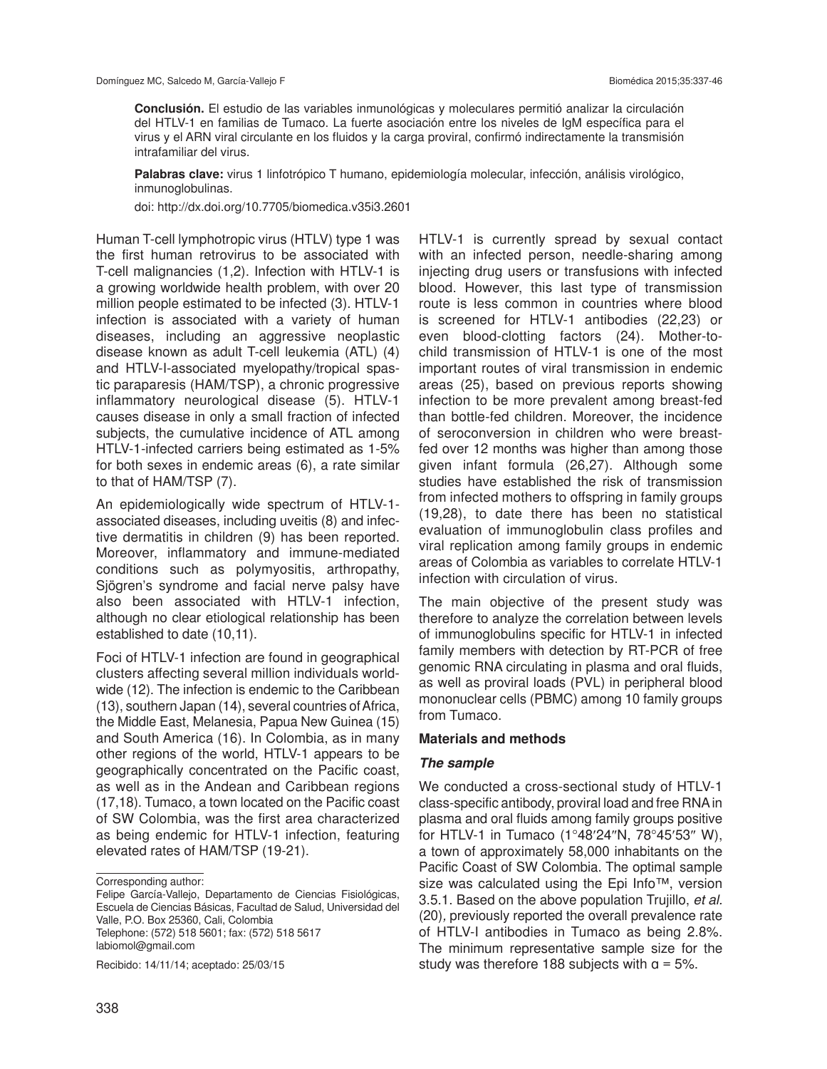**Conclusión.** El estudio de las variables inmunológicas y moleculares permitió analizar la circulación del HTLV-1 en familias de Tumaco. La fuerte asociación entre los niveles de IgM específica para el virus y el ARN viral circulante en los fluidos y la carga proviral, confirmó indirectamente la transmisión intrafamiliar del virus.

**Palabras clave:** virus 1 linfotrópico T humano, epidemiología molecular, infección, análisis virológico, inmunoglobulinas.

doi: http://dx.doi.org/10.7705/biomedica.v35i3.2601

Human T-cell lymphotropic virus (HTLV) type 1 was the first human retrovirus to be associated with T-cell malignancies (1,2). Infection with HTLV-1 is a growing worldwide health problem, with over 20 million people estimated to be infected (3). HTLV-1 infection is associated with a variety of human diseases, including an aggressive neoplastic disease known as adult T-cell leukemia (ATL) (4) and HTLV-I-associated myelopathy/tropical spastic paraparesis (HAM/TSP), a chronic progressive inflammatory neurological disease (5). HTLV-1 causes disease in only a small fraction of infected subjects, the cumulative incidence of ATL among HTLV-1-infected carriers being estimated as 1-5% for both sexes in endemic areas (6), a rate similar to that of HAM/TSP (7).

An epidemiologically wide spectrum of HTLV-1 associated diseases, including uveitis (8) and infective dermatitis in children (9) has been reported. Moreover, inflammatory and immune-mediated conditions such as polymyositis, arthropathy, Sjögren's syndrome and facial nerve palsy have also been associated with HTLV-1 infection, although no clear etiological relationship has been established to date (10,11).

Foci of HTLV-1 infection are found in geographical clusters affecting several million individuals worldwide (12). The infection is endemic to the Caribbean (13), southern Japan (14), several countries of Africa, the Middle East, Melanesia, Papua New Guinea (15) and South America (16). In Colombia, as in many other regions of the world, HTLV-1 appears to be geographically concentrated on the Pacific coast, as well as in the Andean and Caribbean regions (17,18). Tumaco, a town located on the Pacific coast of SW Colombia, was the first area characterized as being endemic for HTLV-1 infection, featuring elevated rates of HAM/TSP (19-21).

Recibido: 14/11/14; aceptado: 25/03/15

HTLV-1 is currently spread by sexual contact with an infected person, needle-sharing among injecting drug users or transfusions with infected blood. However, this last type of transmission route is less common in countries where blood is screened for HTLV-1 antibodies (22,23) or even blood-clotting factors (24). Mother-tochild transmission of HTLV-1 is one of the most important routes of viral transmission in endemic areas (25), based on previous reports showing infection to be more prevalent among breast-fed than bottle-fed children. Moreover, the incidence of seroconversion in children who were breastfed over 12 months was higher than among those given infant formula (26,27). Although some studies have established the risk of transmission from infected mothers to offspring in family groups (19,28), to date there has been no statistical evaluation of immunoglobulin class profiles and viral replication among family groups in endemic areas of Colombia as variables to correlate HTLV-1 infection with circulation of virus.

The main objective of the present study was therefore to analyze the correlation between levels of immunoglobulins specific for HTLV-1 in infected family members with detection by RT-PCR of free genomic RNA circulating in plasma and oral fluids, as well as proviral loads (PVL) in peripheral blood mononuclear cells (PBMC) among 10 family groups from Tumaco.

#### **Materials and methods**

#### *The sample*

We conducted a cross-sectional study of HTLV-1 class-specific antibody, proviral load and free RNA in plasma and oral fluids among family groups positive for HTLV-1 in Tumaco (1°48′24″N, 78°45′53″ W), a town of approximately 58,000 inhabitants on the Pacific Coast of SW Colombia. The optimal sample size was calculated using the Epi Info™, version 3.5.1. Based on the above population Trujillo, *et al.* (20)*,* previously reported the overall prevalence rate of HTLV-I antibodies in Tumaco as being 2.8%. The minimum representative sample size for the study was therefore 188 subjects with  $a = 5\%$ .

Corresponding author:

Felipe García-Vallejo, Departamento de Ciencias Fisiológicas, Escuela de Ciencias Básicas, Facultad de Salud, Universidad del Valle, P.O. Box 25360, Cali, Colombia Telephone: (572) 518 5601; fax: (572) 518 5617 labiomol@gmail.com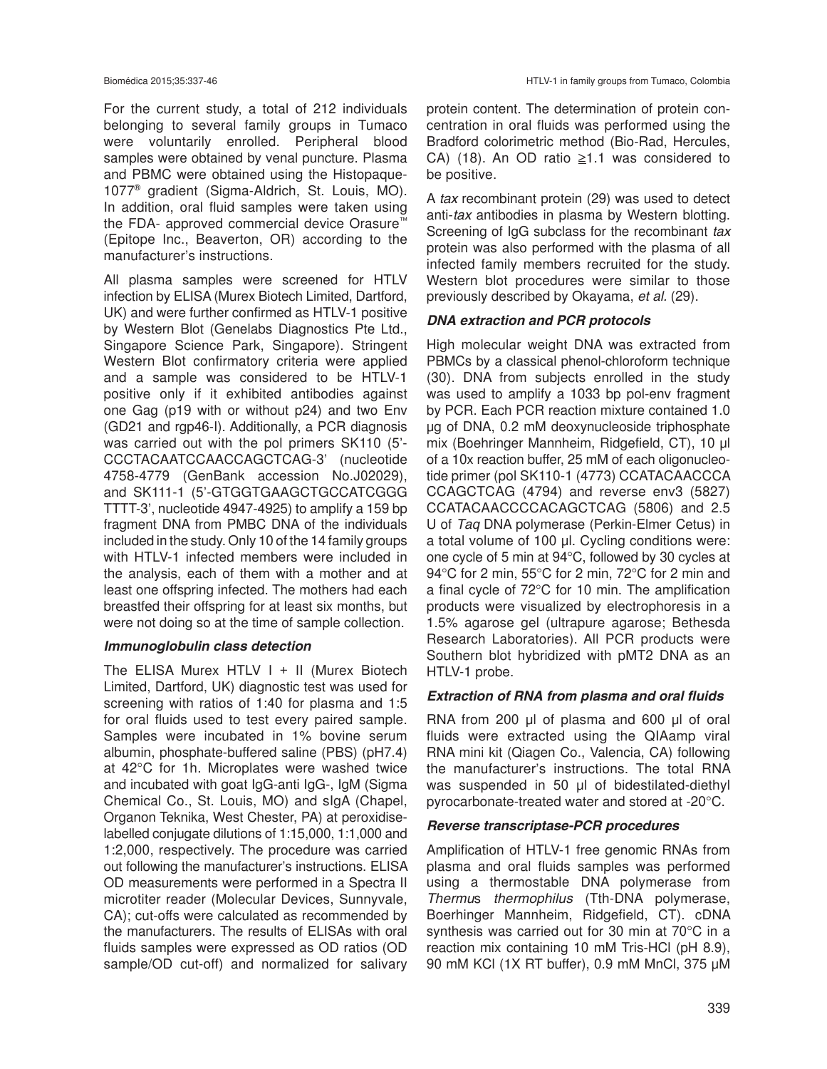For the current study, a total of 212 individuals belonging to several family groups in Tumaco were voluntarily enrolled. Peripheral blood samples were obtained by venal puncture. Plasma and PBMC were obtained using the Histopaque-1077® gradient (Sigma-Aldrich, St. Louis, MO). In addition, oral fluid samples were taken using the FDA- approved commercial device Orasure™ (Epitope Inc., Beaverton, OR) according to the manufacturer's instructions.

All plasma samples were screened for HTLV infection by ELISA (Murex Biotech Limited, Dartford, UK) and were further confirmed as HTLV-1 positive by Western Blot (Genelabs Diagnostics Pte Ltd., Singapore Science Park, Singapore). Stringent Western Blot confirmatory criteria were applied and a sample was considered to be HTLV-1 positive only if it exhibited antibodies against one Gag (p19 with or without p24) and two Env (GD21 and rgp46-I). Additionally, a PCR diagnosis was carried out with the pol primers SK110 (5'- CCCTACAATCCAACCAGCTCAG-3' (nucleotide 4758-4779 (GenBank accession No.J02029), and SK111-1 (5'-GTGGTGAAGCTGCCATCGGG TTTT-3', nucleotide 4947-4925) to amplify a 159 bp fragment DNA from PMBC DNA of the individuals included in the study. Only 10 of the 14 family groups with HTLV-1 infected members were included in the analysis, each of them with a mother and at least one offspring infected. The mothers had each breastfed their offspring for at least six months, but were not doing so at the time of sample collection.

### *Immunoglobulin class detection*

The ELISA Murex HTLV  $I + II$  (Murex Biotech Limited, Dartford, UK) diagnostic test was used for screening with ratios of 1:40 for plasma and 1:5 for oral fluids used to test every paired sample. Samples were incubated in 1% bovine serum albumin, phosphate-buffered saline (PBS) (pH7.4) at 42°C for 1h. Microplates were washed twice and incubated with goat IgG-anti IgG-, IgM (Sigma Chemical Co., St. Louis, MO) and sIgA (Chapel, Organon Teknika, West Chester, PA) at peroxidiselabelled conjugate dilutions of 1:15,000, 1:1,000 and 1:2,000, respectively. The procedure was carried out following the manufacturer's instructions. ELISA OD measurements were performed in a Spectra II microtiter reader (Molecular Devices, Sunnyvale, CA); cut-offs were calculated as recommended by the manufacturers. The results of ELISAs with oral fluids samples were expressed as OD ratios (OD sample/OD cut-off) and normalized for salivary protein content. The determination of protein concentration in oral fluids was performed using the Bradford colorimetric method (Bio-Rad, Hercules, CA) (18). An OD ratio  $\geq 1.1$  was considered to be positive.

A *tax* recombinant protein (29) was used to detect anti-*tax* antibodies in plasma by Western blotting. Screening of IgG subclass for the recombinant *tax* protein was also performed with the plasma of all infected family members recruited for the study. Western blot procedures were similar to those previously described by Okayama, *et al.* (29).

### *DNA extraction and PCR protocols*

High molecular weight DNA was extracted from PBMCs by a classical phenol-chloroform technique (30). DNA from subjects enrolled in the study was used to amplify a 1033 bp pol-env fragment by PCR. Each PCR reaction mixture contained 1.0 μg of DNA, 0.2 mM deoxynucleoside triphosphate mix (Boehringer Mannheim, Ridgefield, CT), 10 μl of a 10x reaction buffer, 25 mM of each oligonucleotide primer (pol SK110-1 (4773) CCATACAACCCA CCAGCTCAG (4794) and reverse env3 (5827) CCATACAACCCCACAGCTCAG (5806) and 2.5 U of *Taq* DNA polymerase (Perkin-Elmer Cetus) in a total volume of 100 μl. Cycling conditions were: one cycle of 5 min at 94°C, followed by 30 cycles at 94°C for 2 min, 55°C for 2 min, 72°C for 2 min and a final cycle of 72°C for 10 min. The amplification products were visualized by electrophoresis in a 1.5% agarose gel (ultrapure agarose; Bethesda Research Laboratories). All PCR products were Southern blot hybridized with pMT2 DNA as an HTLV-1 probe.

#### *Extraction of RNA from plasma and oral fluids*

RNA from 200 μl of plasma and 600 μl of oral fluids were extracted using the QIAamp viral RNA mini kit (Qiagen Co., Valencia, CA) following the manufacturer's instructions. The total RNA was suspended in 50 μl of bidestilated-diethyl pyrocarbonate-treated water and stored at -20°C.

#### *Reverse transcriptase-PCR procedures*

Amplification of HTLV-1 free genomic RNAs from plasma and oral fluids samples was performed using a thermostable DNA polymerase from *Thermu*s *thermophilus* (Tth-DNA polymerase, Boerhinger Mannheim, Ridgefield, CT). cDNA synthesis was carried out for 30 min at 70°C in a reaction mix containing 10 mM Tris-HCl (pH 8.9), 90 mM KCl (1X RT buffer), 0.9 mM MnCl, 375 µM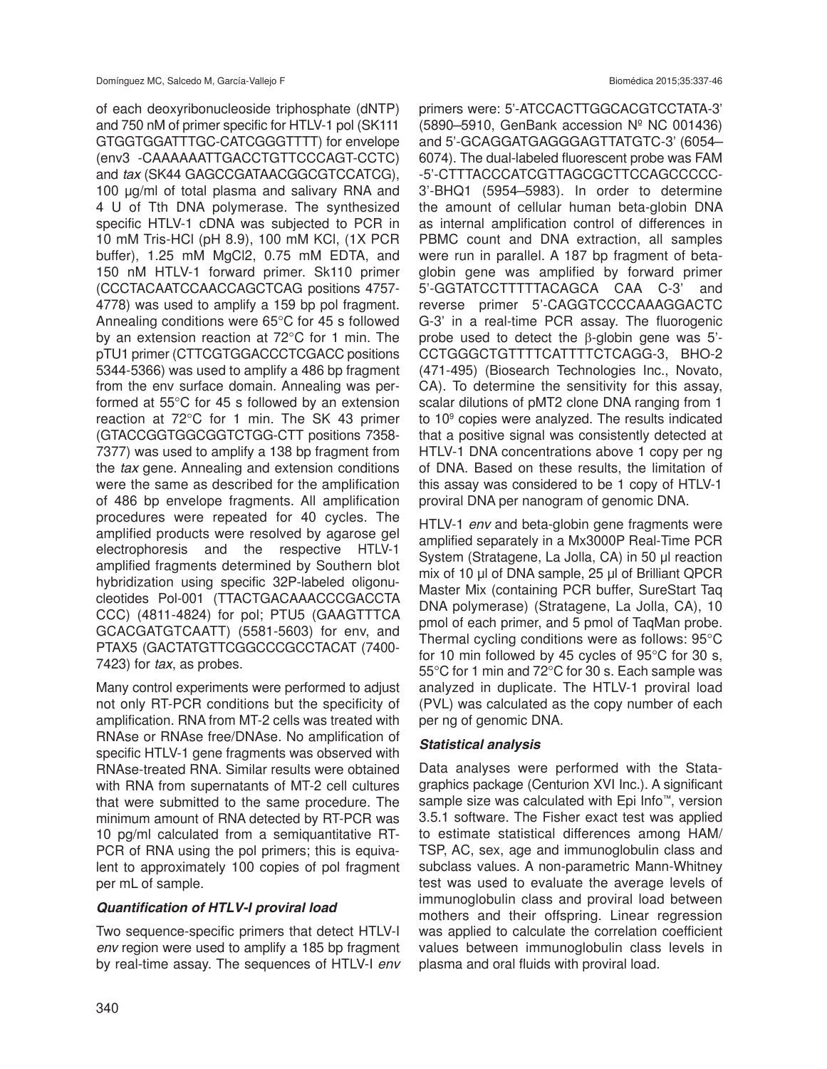of each deoxyribonucleoside triphosphate (dNTP) and 750 nM of primer specific for HTLV-1 pol (SK111 GTGGTGGATTTGC-CATCGGGTTTT) for envelope (env3 -CAAAAAATTGACCTGTTCCCAGT-CCTC) and *tax* (SK44 GAGCCGATAACGGCGTCCATCG), 100 μg/ml of total plasma and salivary RNA and 4 U of Tth DNA polymerase. The synthesized specific HTLV-1 cDNA was subjected to PCR in 10 mM Tris-HCl (pH 8.9), 100 mM KCl, (1X PCR buffer), 1.25 mM MgCl2, 0.75 mM EDTA, and 150 nM HTLV-1 forward primer. Sk110 primer (CCCTACAATCCAACCAGCTCAG positions 4757- 4778) was used to amplify a 159 bp pol fragment. Annealing conditions were 65°C for 45 s followed by an extension reaction at 72°C for 1 min. The pTU1 primer (CTTCGTGGACCCTCGACC positions 5344-5366) was used to amplify a 486 bp fragment from the env surface domain. Annealing was performed at 55°C for 45 s followed by an extension reaction at 72°C for 1 min. The SK 43 primer (GTACCGGTGGCGGTCTGG-CTT positions 7358- 7377) was used to amplify a 138 bp fragment from the *tax* gene. Annealing and extension conditions were the same as described for the amplification of 486 bp envelope fragments. All amplification procedures were repeated for 40 cycles. The amplified products were resolved by agarose gel electrophoresis and the respective HTLV-1 amplified fragments determined by Southern blot hybridization using specific 32P-labeled oligonucleotides Pol-001 (TTACTGACAAACCCGACCTA CCC) (4811-4824) for pol; PTU5 (GAAGTTTCA GCACGATGTCAATT) (5581-5603) for env, and PTAX5 (GACTATGTTCGGCCCGCCTACAT (7400- 7423) for *tax*, as probes.

Many control experiments were performed to adjust not only RT-PCR conditions but the specificity of amplification. RNA from MT-2 cells was treated with RNAse or RNAse free/DNAse. No amplification of specific HTLV-1 gene fragments was observed with RNAse-treated RNA. Similar results were obtained with RNA from supernatants of MT-2 cell cultures that were submitted to the same procedure. The minimum amount of RNA detected by RT-PCR was 10 pg/ml calculated from a semiquantitative RT-PCR of RNA using the pol primers; this is equivalent to approximately 100 copies of pol fragment per mL of sample.

# *Quantification of HTLV-I proviral load*

Two sequence-specific primers that detect HTLV-I *env* region were used to amplify a 185 bp fragment by real-time assay. The sequences of HTLV-I *env*  primers were: 5'-ATCCACTTGGCACGTCCTATA-3' (5890–5910, GenBank accession Nº NC 001436) and 5'-GCAGGATGAGGGAGTTATGTC-3' (6054– 6074). The dual-labeled fluorescent probe was FAM -5'-CTTTACCCATCGTTAGCGCTTCCAGCCCCC-3'-BHQ1 (5954–5983). In order to determine the amount of cellular human beta-globin DNA as internal amplification control of differences in PBMC count and DNA extraction, all samples were run in parallel. A 187 bp fragment of betaglobin gene was amplified by forward primer 5'-GGTATCCTTTTTACAGCA CAA C-3' and reverse primer 5'-CAGGTCCCCAAAGGACTC G-3' in a real-time PCR assay. The fluorogenic probe used to detect the β-globin gene was 5'- CCTGGGCTGTTTTCATTTTCTCAGG-3, BHO-2 (471-495) (Biosearch Technologies Inc., Novato, CA). To determine the sensitivity for this assay, scalar dilutions of pMT2 clone DNA ranging from 1 to 109 copies were analyzed. The results indicated that a positive signal was consistently detected at HTLV-1 DNA concentrations above 1 copy per ng of DNA. Based on these results, the limitation of this assay was considered to be 1 copy of HTLV-1 proviral DNA per nanogram of genomic DNA.

HTLV-1 *env* and beta-globin gene fragments were amplified separately in a Mx3000P Real-Time PCR System (Stratagene, La Jolla, CA) in 50 μl reaction mix of 10 μl of DNA sample, 25 μl of Brilliant QPCR Master Mix (containing PCR buffer, SureStart Taq DNA polymerase) (Stratagene, La Jolla, CA), 10 pmol of each primer, and 5 pmol of TaqMan probe. Thermal cycling conditions were as follows: 95°C for 10 min followed by 45 cycles of 95°C for 30 s, 55°C for 1 min and 72°C for 30 s. Each sample was analyzed in duplicate. The HTLV-1 proviral load (PVL) was calculated as the copy number of each per ng of genomic DNA.

### *Statistical analysis*

Data analyses were performed with the Statagraphics package (Centurion XVI Inc.). A significant sample size was calculated with Epi Info™, version 3.5.1 software. The Fisher exact test was applied to estimate statistical differences among HAM/ TSP, AC, sex, age and immunoglobulin class and subclass values. A non-parametric Mann-Whitney test was used to evaluate the average levels of immunoglobulin class and proviral load between mothers and their offspring. Linear regression was applied to calculate the correlation coefficient values between immunoglobulin class levels in plasma and oral fluids with proviral load.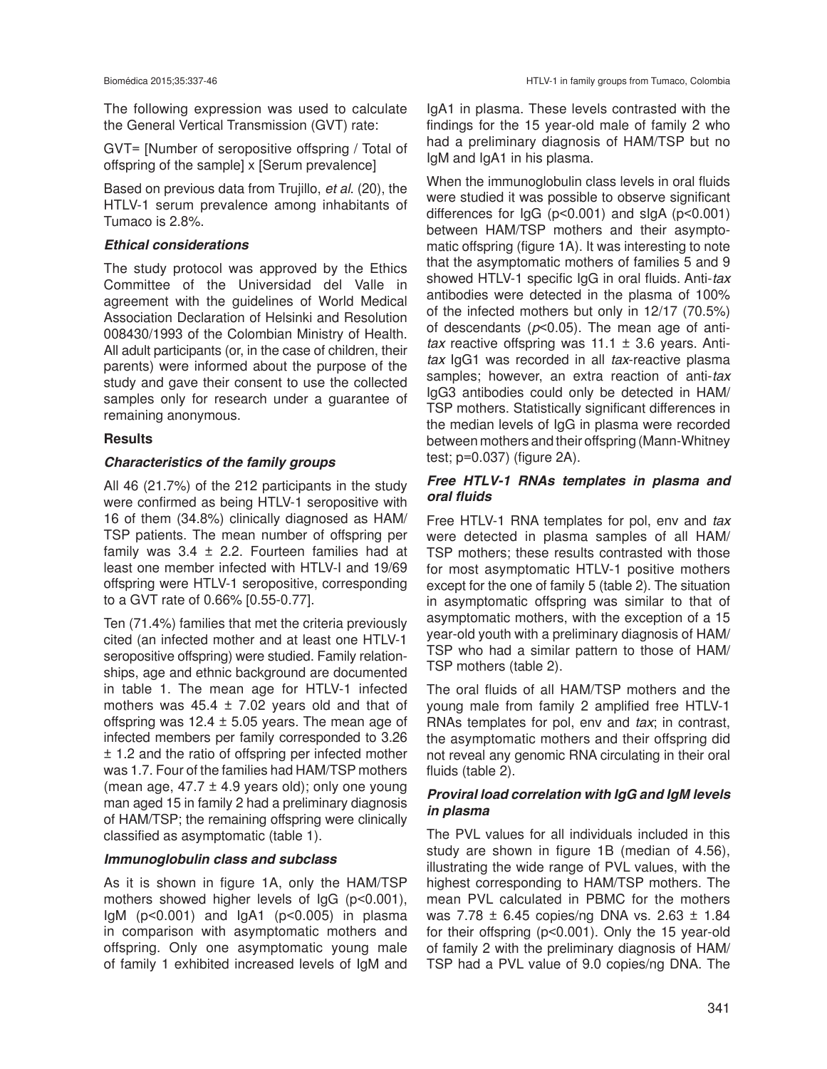The following expression was used to calculate the General Vertical Transmission (GVT) rate:

GVT= [Number of seropositive offspring / Total of offspring of the sample] x [Serum prevalence]

Based on previous data from Trujillo, *et al*. (20), the HTLV-1 serum prevalence among inhabitants of Tumaco is 2.8%.

# *Ethical considerations*

The study protocol was approved by the Ethics Committee of the Universidad del Valle in agreement with the guidelines of World Medical Association Declaration of Helsinki and Resolution 008430/1993 of the Colombian Ministry of Health. All adult participants (or, in the case of children, their parents) were informed about the purpose of the study and gave their consent to use the collected samples only for research under a guarantee of remaining anonymous.

# **Results**

# *Characteristics of the family groups*

All 46 (21.7%) of the 212 participants in the study were confirmed as being HTLV-1 seropositive with 16 of them (34.8%) clinically diagnosed as HAM/ TSP patients. The mean number of offspring per family was  $3.4 \pm 2.2$ . Fourteen families had at least one member infected with HTLV-I and 19/69 offspring were HTLV-1 seropositive, corresponding to a GVT rate of 0.66% [0.55-0.77].

Ten (71.4%) families that met the criteria previously cited (an infected mother and at least one HTLV-1 seropositive offspring) were studied. Family relationships, age and ethnic background are documented in table 1. The mean age for HTLV-1 infected mothers was  $45.4 \pm 7.02$  years old and that of offspring was  $12.4 \pm 5.05$  years. The mean age of infected members per family corresponded to 3.26 ± 1.2 and the ratio of offspring per infected mother was 1.7. Four of the families had HAM/TSP mothers (mean age,  $47.7 \pm 4.9$  years old); only one young man aged 15 in family 2 had a preliminary diagnosis of HAM/TSP; the remaining offspring were clinically classified as asymptomatic (table 1).

### *Immunoglobulin class and subclass*

As it is shown in figure 1A, only the HAM/TSP mothers showed higher levels of IgG (p<0.001),  $IgM$  ( $p<0.001$ ) and  $IgA1$  ( $p<0.005$ ) in plasma in comparison with asymptomatic mothers and offspring. Only one asymptomatic young male of family 1 exhibited increased levels of IgM and IgA1 in plasma. These levels contrasted with the findings for the 15 year-old male of family 2 who had a preliminary diagnosis of HAM/TSP but no IgM and IgA1 in his plasma.

When the immunoglobulin class levels in oral fluids were studied it was possible to observe significant differences for IgG (p<0.001) and sIgA (p<0.001) between HAM/TSP mothers and their asymptomatic offspring (figure 1A). It was interesting to note that the asymptomatic mothers of families 5 and 9 showed HTLV-1 specific IgG in oral fluids. Anti-*tax* antibodies were detected in the plasma of 100% of the infected mothers but only in 12/17 (70.5%) of descendants (*p*<0.05). The mean age of anti*tax* reactive offspring was 11.1 ± 3.6 years. Anti*tax* IgG1 was recorded in all *tax*-reactive plasma samples; however, an extra reaction of anti-*tax* IgG3 antibodies could only be detected in HAM/ TSP mothers. Statistically significant differences in the median levels of IgG in plasma were recorded between mothers and their offspring (Mann-Whitney test; p=0.037) (figure 2A).

# *Free HTLV-1 RNAs templates in plasma and oral fluids*

Free HTLV-1 RNA templates for pol, env and *tax* were detected in plasma samples of all HAM/ TSP mothers; these results contrasted with those for most asymptomatic HTLV-1 positive mothers except for the one of family 5 (table 2). The situation in asymptomatic offspring was similar to that of asymptomatic mothers, with the exception of a 15 year-old youth with a preliminary diagnosis of HAM/ TSP who had a similar pattern to those of HAM/ TSP mothers (table 2).

The oral fluids of all HAM/TSP mothers and the young male from family 2 amplified free HTLV-1 RNAs templates for pol, env and *tax*; in contrast, the asymptomatic mothers and their offspring did not reveal any genomic RNA circulating in their oral fluids (table 2).

# *Proviral load correlation with IgG and IgM levels in plasma*

The PVL values for all individuals included in this study are shown in figure 1B (median of 4.56), illustrating the wide range of PVL values, with the highest corresponding to HAM/TSP mothers. The mean PVL calculated in PBMC for the mothers was 7.78 ± 6.45 copies/ng DNA vs. 2.63 ± 1.84 for their offspring (p<0.001). Only the 15 year-old of family 2 with the preliminary diagnosis of HAM/ TSP had a PVL value of 9.0 copies/ng DNA. The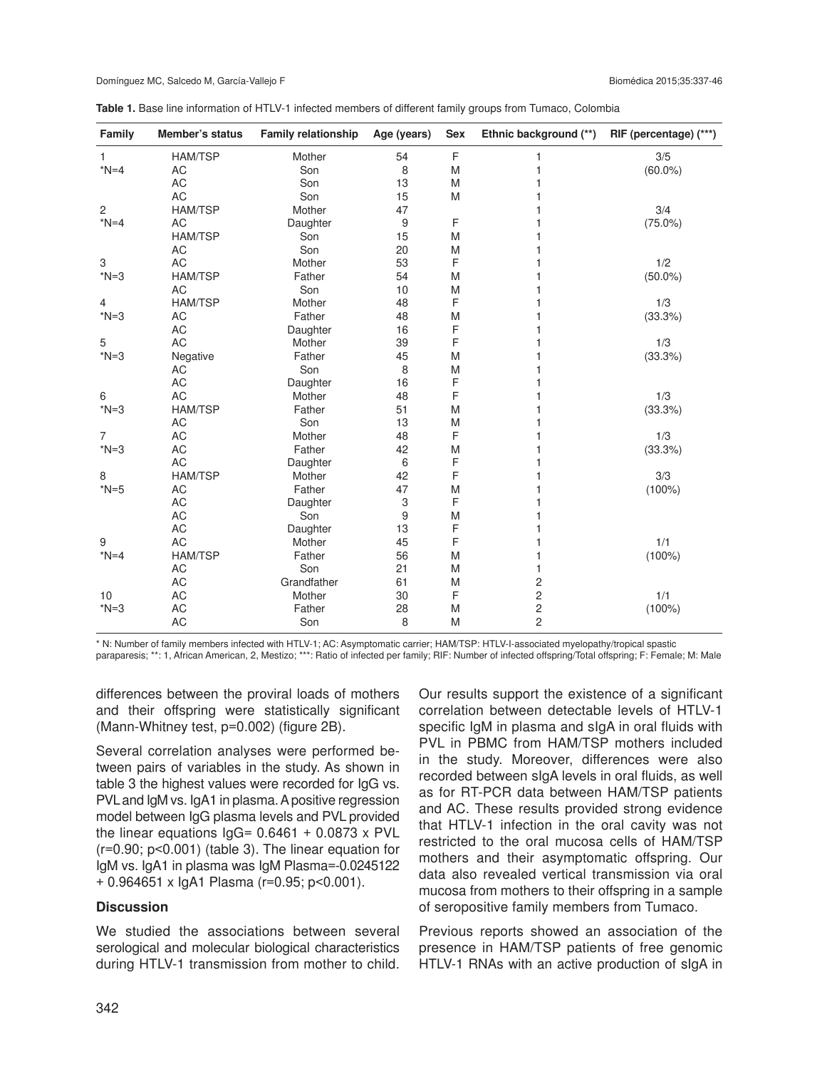| Table 1. Base line information of HTLV-1 infected members of different family groups from Tumaco, Colombia |  |
|------------------------------------------------------------------------------------------------------------|--|
|------------------------------------------------------------------------------------------------------------|--|

| Family                    | Member's status | <b>Family relationship</b> | Age (years) | Sex | Ethnic background (**)  | RIF (percentage) (***) |
|---------------------------|-----------------|----------------------------|-------------|-----|-------------------------|------------------------|
| 1                         | <b>HAM/TSP</b>  | Mother                     | 54          | F   | 1                       | 3/5                    |
| $*N=4$                    | AC              | Son                        | 8           | M   | 1                       | $(60.0\%)$             |
|                           | <b>AC</b>       | Son                        | 13          | M   | 1                       |                        |
|                           | AC              | Son                        | 15          | M   | 1                       |                        |
| $\overline{c}$            | <b>HAM/TSP</b>  | Mother                     | 47          |     | 1                       | 3/4                    |
| $*N=4$                    | AC              | Daughter                   | 9           | F   | 1                       | $(75.0\%)$             |
|                           | <b>HAM/TSP</b>  | Son                        | 15          | M   | 1                       |                        |
|                           | AC              | Son                        | 20          | M   | 1                       |                        |
| $\ensuremath{\mathsf{3}}$ | AC              | Mother                     | 53          | F   | 1                       | 1/2                    |
| $*N=3$                    | <b>HAM/TSP</b>  | Father                     | 54          | M   | 1                       | $(50.0\%)$             |
|                           | <b>AC</b>       | Son                        | 10          | M   | 1                       |                        |
| $\overline{4}$            | <b>HAM/TSP</b>  | Mother                     | 48          | F   | 1                       | 1/3                    |
| $*N=3$                    | <b>AC</b>       | Father                     | 48          | M   | 1                       | (33.3%)                |
|                           | <b>AC</b>       | Daughter                   | 16          | F   | 1                       |                        |
| 5                         | <b>AC</b>       | Mother                     | 39          | F   | 1                       | 1/3                    |
| $*N=3$                    | Negative        | Father                     | 45          | M   | 1                       | (33.3%)                |
|                           | AC              | Son                        | 8           | M   | 1                       |                        |
|                           | AC              | Daughter                   | 16          | F   | 1                       |                        |
| 6                         | <b>AC</b>       | Mother                     | 48          | F   | 1                       | 1/3                    |
| $*N=3$                    | <b>HAM/TSP</b>  | Father                     | 51          | M   | 1                       | (33.3%)                |
|                           | AC              | Son                        | 13          | M   | 1                       |                        |
| $\overline{7}$            | <b>AC</b>       | Mother                     | 48          | F   | 1                       | 1/3                    |
| $*N=3$                    | AC              | Father                     | 42          | M   | 1                       | (33.3%)                |
|                           | <b>AC</b>       | Daughter                   | 6           | F   | 1                       |                        |
| 8                         | <b>HAM/TSP</b>  | Mother                     | 42          | F   | 1                       | 3/3                    |
| $*N=5$                    | AC              | Father                     | 47          | M   | 1                       | $(100\%)$              |
|                           | AC              | Daughter                   | 3           | F   | 1                       |                        |
|                           | AC              | Son                        | 9           | M   | 1                       |                        |
|                           | <b>AC</b>       | Daughter                   | 13          | F   | 1                       |                        |
| 9                         | AC              | Mother                     | 45          | F   | 1                       | 1/1                    |
| $*N=4$                    | <b>HAM/TSP</b>  | Father                     | 56          | M   | 1                       | $(100\%)$              |
|                           | AC              | Son                        | 21          | M   | 1                       |                        |
|                           | AC              | Grandfather                | 61          | M   | $\overline{c}$          |                        |
| 10                        | AC              | Mother                     | 30          | F   | $\overline{c}$          | 1/1                    |
| $*N=3$                    | <b>AC</b>       | Father                     | 28          | M   | $\overline{\mathbf{c}}$ | $(100\%)$              |
|                           | AC              | Son                        | 8           | M   | $\overline{c}$          |                        |

\* N: Number of family members infected with HTLV-1; AC: Asymptomatic carrier; HAM/TSP: HTLV-I-associated myelopathy/tropical spastic

paraparesis; \*\*: 1, African American, 2, Mestizo; \*\*\*: Ratio of infected per family; RIF: Number of infected offspring/Total offspring; F: Female; M: Male

differences between the proviral loads of mothers and their offspring were statistically significant (Mann-Whitney test, p=0.002) (figure 2B).

Several correlation analyses were performed between pairs of variables in the study. As shown in table 3 the highest values were recorded for IgG vs. PVL and IgM vs. IgA1 in plasma. A positive regression model between IgG plasma levels and PVL provided the linear equations  $lgG = 0.6461 + 0.0873$  x PVL (r=0.90; p<0.001) (table 3). The linear equation for IgM vs. IgA1 in plasma was IgM Plasma=-0.0245122 + 0.964651 x IgA1 Plasma (r=0.95; p<0.001).

### **Discussion**

We studied the associations between several serological and molecular biological characteristics during HTLV-1 transmission from mother to child.

Our results support the existence of a significant correlation between detectable levels of HTLV-1 specific IgM in plasma and sIgA in oral fluids with PVL in PBMC from HAM/TSP mothers included in the study. Moreover, differences were also recorded between sIgA levels in oral fluids, as well as for RT-PCR data between HAM/TSP patients and AC. These results provided strong evidence that HTLV-1 infection in the oral cavity was not restricted to the oral mucosa cells of HAM/TSP mothers and their asymptomatic offspring. Our data also revealed vertical transmission via oral mucosa from mothers to their offspring in a sample of seropositive family members from Tumaco.

Previous reports showed an association of the presence in HAM/TSP patients of free genomic HTLV-1 RNAs with an active production of sIgA in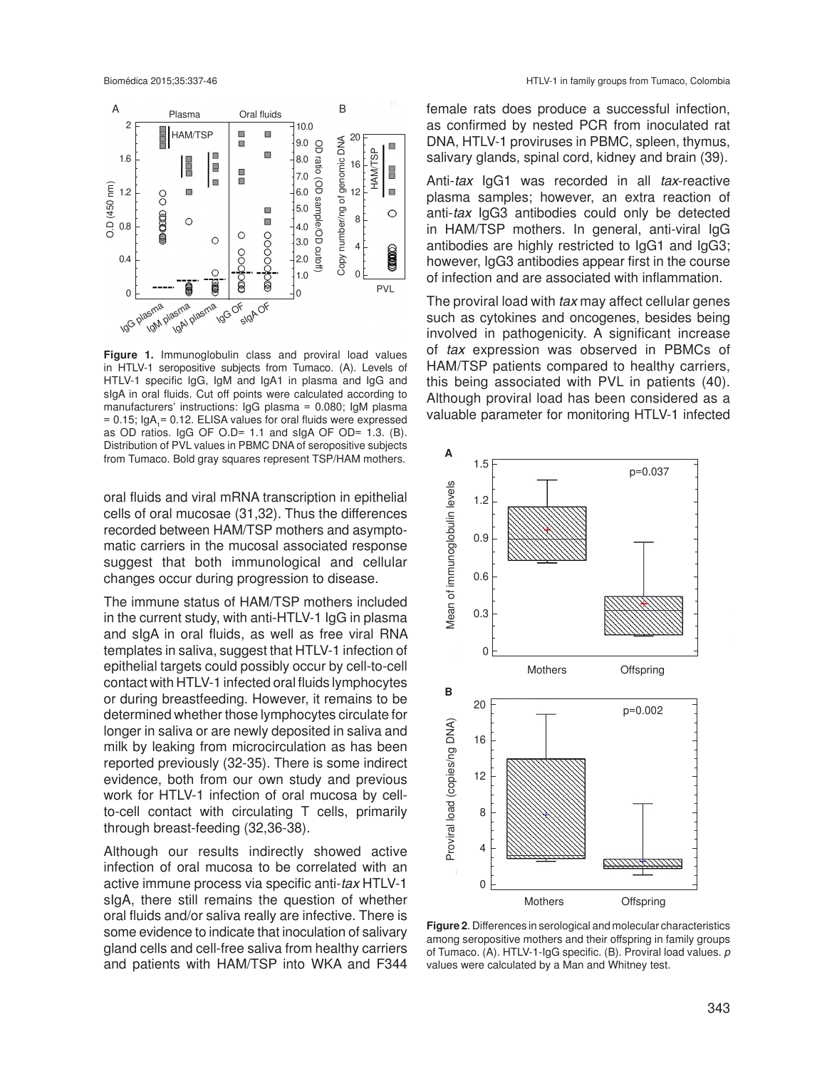

**Figure 1.** Immunoglobulin class and proviral load values in HTLV-1 seropositive subjects from Tumaco. (A). Levels of HTLV-1 specific IgG, IgM and IgA1 in plasma and IgG and sIgA in oral fluids. Cut off points were calculated according to manufacturers' instructions: IgG plasma = 0.080; IgM plasma  $= 0.15$ ; IgA<sub>1</sub> $= 0.12$ . ELISA values for oral fluids were expressed as OD ratios. IgG OF O.D= 1.1 and sIgA OF OD= 1.3. (B). Distribution of PVL values in PBMC DNA of seropositive subjects from Tumaco. Bold gray squares represent TSP/HAM mothers.

oral fluids and viral mRNA transcription in epithelial cells of oral mucosae (31,32). Thus the differences recorded between HAM/TSP mothers and asymptomatic carriers in the mucosal associated response suggest that both immunological and cellular changes occur during progression to disease.

The immune status of HAM/TSP mothers included in the current study, with anti-HTLV-1 IgG in plasma and sIgA in oral fluids, as well as free viral RNA templates in saliva, suggest that HTLV-1 infection of epithelial targets could possibly occur by cell-to-cell contact with HTLV-1 infected oral fluids lymphocytes or during breastfeeding. However, it remains to be determined whether those lymphocytes circulate for longer in saliva or are newly deposited in saliva and milk by leaking from microcirculation as has been reported previously (32-35). There is some indirect evidence, both from our own study and previous work for HTLV-1 infection of oral mucosa by cellto-cell contact with circulating T cells, primarily through breast-feeding (32,36-38).

Although our results indirectly showed active infection of oral mucosa to be correlated with an active immune process via specific anti-*tax* HTLV-1 sIgA, there still remains the question of whether oral fluids and/or saliva really are infective. There is some evidence to indicate that inoculation of salivary gland cells and cell-free saliva from healthy carriers and patients with HAM/TSP into WKA and F344

female rats does produce a successful infection, as confirmed by nested PCR from inoculated rat DNA, HTLV-1 proviruses in PBMC, spleen, thymus, salivary glands, spinal cord, kidney and brain (39).

Anti-*tax* IgG1 was recorded in all *tax*-reactive plasma samples; however, an extra reaction of anti-*tax* IgG3 antibodies could only be detected in HAM/TSP mothers. In general, anti-viral IgG antibodies are highly restricted to IgG1 and IgG3; however, IgG3 antibodies appear first in the course of infection and are associated with inflammation.

The proviral load with *tax* may affect cellular genes such as cytokines and oncogenes, besides being involved in pathogenicity. A significant increase of *tax* expression was observed in PBMCs of HAM/TSP patients compared to healthy carriers, this being associated with PVL in patients (40). Although proviral load has been considered as a valuable parameter for monitoring HTLV-1 infected



**Figure 2**. Differences in serological and molecular characteristics among seropositive mothers and their offspring in family groups of Tumaco. (A). HTLV-1-IgG specific. (B). Proviral load values. *p* values were calculated by a Man and Whitney test.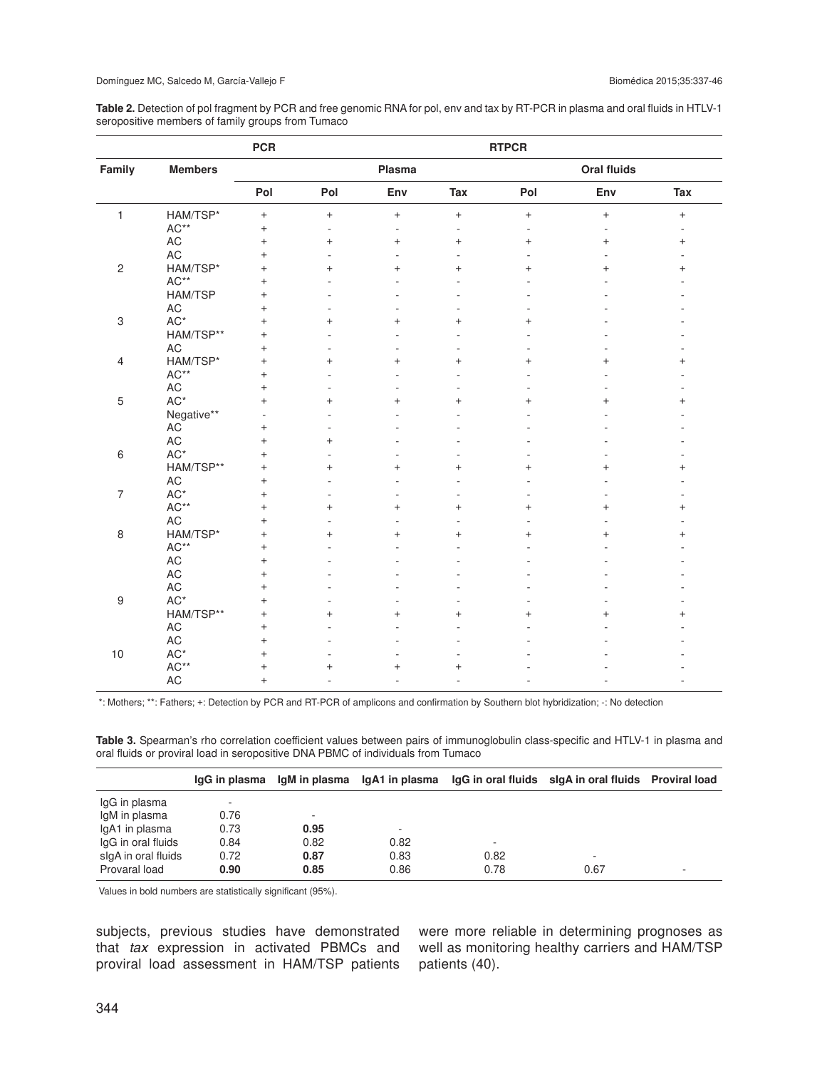**Table 2.** Detection of pol fragment by PCR and free genomic RNA for pol, env and tax by RT-PCR in plasma and oral fluids in HTLV-1 seropositive members of family groups from Tumaco

| Family           |                 | <b>PCR</b> | <b>RTPCR</b> |                          |                |           |           |                   |  |
|------------------|-----------------|------------|--------------|--------------------------|----------------|-----------|-----------|-------------------|--|
|                  | <b>Members</b>  |            | Plasma       |                          |                |           |           |                   |  |
|                  |                 | Pol        | Pol          | Env                      | Tax            | Pol       | Env       | Tax               |  |
| $\mathbf{1}$     | HAM/TSP*        | $\ddot{}$  | $\ddot{}$    | $\boldsymbol{+}$         | $\ddot{}$      | $\pm$     | $\ddot{}$ | $\qquad \qquad +$ |  |
|                  | $AC**$          | $^{+}$     | L,           | $\overline{\phantom{a}}$ | ä,             |           | ä,        |                   |  |
|                  | $\mathsf{AC}$   | $\ddot{}$  | $\ddot{}$    | $^{+}$                   | $^{+}$         | $\ddot{}$ | $\ddot{}$ | $\qquad \qquad +$ |  |
|                  | AC              | $\ddot{}$  | L.           |                          |                |           |           |                   |  |
| $\sqrt{2}$       | HAM/TSP*        | $\ddot{}$  | $\ddot{}$    | $\ddot{}$                | $\ddot{}$      | $\ddot{}$ | $\ddot{}$ | $^{+}$            |  |
|                  | $AC**$          | $\ddot{}$  |              |                          |                |           |           |                   |  |
|                  | HAM/TSP         | $\ddot{}$  |              |                          |                |           |           |                   |  |
|                  | AC              | $\ddot{}$  |              |                          |                |           |           |                   |  |
| $\,3$            | $AC^*$          | $\ddot{}$  | $\ddot{}$    | $\ddot{}$                | $\ddot{}$      | $\ddot{}$ |           |                   |  |
|                  | HAM/TSP**       | $\ddot{}$  | ÷.           |                          |                |           |           |                   |  |
|                  | <b>AC</b>       | $\ddot{}$  | ÷.           |                          |                |           |           |                   |  |
| 4                | HAM/TSP*        | $\ddot{}$  | $\ddot{}$    | $\ddot{}$                | $\ddot{}$      | $+$       | $^{+}$    | $\hbox{ }$        |  |
|                  | $AC**$          | $^{+}$     | ä,           |                          |                |           |           |                   |  |
|                  | $\mathsf{AC}$   | $\ddot{}$  | ä,           |                          |                |           |           |                   |  |
| 5                | $AC^*$          | $\ddot{}$  | $\ddot{}$    | $\ddot{}$                | $\ddot{}$      | $\ddot{}$ | $\ddot{}$ | $\ddot{}$         |  |
|                  | Negative**      | ä,         |              |                          |                |           |           |                   |  |
|                  | AC              | $\ddot{}$  | -            |                          |                |           |           |                   |  |
|                  | AC              | $\ddot{}$  | $^{+}$       |                          |                |           |           |                   |  |
| $\,6\,$          | $\mathsf{AC}^*$ | $\ddot{}$  | ۰            |                          |                |           |           |                   |  |
|                  | HAM/TSP**       | $\ddot{}$  | $\ddot{}$    | $\ddot{}$                | $\overline{+}$ | $^{+}$    | $\ddot{}$ | $\ddot{}$         |  |
|                  | AC              | $^{+}$     | L            |                          |                |           |           |                   |  |
| $\overline{7}$   | $AC*$           | $\ddot{}$  | ٠            |                          |                |           |           |                   |  |
|                  | AC**            | $\ddot{}$  | $\ddot{}$    | $^{+}$                   | $^{+}$         | $\ddot{}$ | $\ddot{}$ | $^{+}$            |  |
|                  | AC              | $\ddot{}$  | ä,           |                          |                |           |           |                   |  |
| 8                | HAM/TSP*        | $\ddot{}$  | $\ddot{}$    | $\ddot{}$                | $\ddot{}$      | $\ddot{}$ | $\ddot{}$ | $\ddot{}$         |  |
|                  | AC**            | $\ddot{}$  |              |                          |                |           |           |                   |  |
|                  | $\mathsf{AC}$   | $^{+}$     |              |                          |                |           |           |                   |  |
|                  | $\mathsf{AC}$   | $\ddot{}$  |              |                          |                |           |           |                   |  |
|                  | AC              | $\ddot{}$  |              |                          |                |           |           |                   |  |
| $\boldsymbol{9}$ | $AC^*$          | $\ddot{}$  |              |                          |                |           |           |                   |  |
|                  | HAM/TSP**       | $\ddot{}$  | $+$          | $\ddot{}$                | $+$            | $+$       | $\ddot{}$ | $\ddot{}$         |  |
|                  | AC              | $\ddot{}$  |              |                          |                |           |           |                   |  |
|                  | $\mathsf{AC}$   | $^{+}$     |              |                          |                |           |           |                   |  |
| 10               | $AC^*$          | $^{+}$     |              |                          |                |           |           |                   |  |
|                  | AC**            | $\ddot{}$  | $+$          | $^{+}$                   | $\ddot{}$      |           |           |                   |  |
|                  | <b>AC</b>       | $\ddot{}$  | ä,           |                          |                |           |           |                   |  |
|                  |                 |            |              |                          |                |           |           |                   |  |

\*: Mothers; \*\*: Fathers; +: Detection by PCR and RT-PCR of amplicons and confirmation by Southern blot hybridization; -: No detection

**Table 3.** Spearman's rho correlation coefficient values between pairs of immunoglobulin class-specific and HTLV-1 in plasma and oral fluids or proviral load in seropositive DNA PBMC of individuals from Tumaco

|                     | lgG in plasma |      |      |                          | lgM in plasma lgA1 in plasma lgG in oral fluids sigA in oral fluids Proviral load |                          |
|---------------------|---------------|------|------|--------------------------|-----------------------------------------------------------------------------------|--------------------------|
| IgG in plasma       |               |      |      |                          |                                                                                   |                          |
| IgM in plasma       | 0.76          | -    |      |                          |                                                                                   |                          |
| IgA1 in plasma      | 0.73          | 0.95 |      |                          |                                                                                   |                          |
| IgG in oral fluids  | 0.84          | 0.82 | 0.82 | $\overline{\phantom{a}}$ |                                                                                   |                          |
| slgA in oral fluids | 0.72          | 0.87 | 0.83 | 0.82                     | $\overline{\phantom{a}}$                                                          |                          |
| Provaral load       | 0.90          | 0.85 | 0.86 | 0.78                     | 0.67                                                                              | $\overline{\phantom{a}}$ |

Values in bold numbers are statistically significant (95%).

subjects, previous studies have demonstrated that *tax* expression in activated PBMCs and proviral load assessment in HAM/TSP patients were more reliable in determining prognoses as well as monitoring healthy carriers and HAM/TSP patients (40).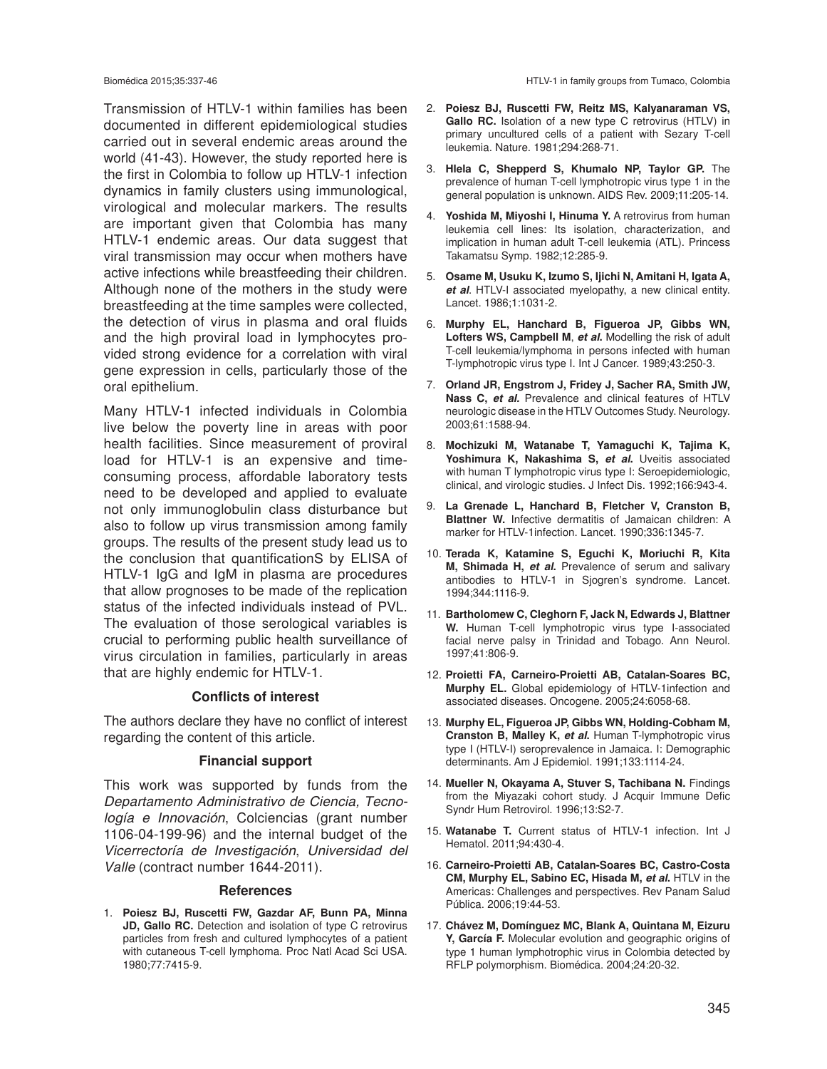Transmission of HTLV-1 within families has been documented in different epidemiological studies carried out in several endemic areas around the world (41-43). However, the study reported here is the first in Colombia to follow up HTLV-1 infection dynamics in family clusters using immunological, virological and molecular markers. The results are important given that Colombia has many HTLV-1 endemic areas. Our data suggest that viral transmission may occur when mothers have active infections while breastfeeding their children. Although none of the mothers in the study were breastfeeding at the time samples were collected, the detection of virus in plasma and oral fluids and the high proviral load in lymphocytes provided strong evidence for a correlation with viral gene expression in cells, particularly those of the oral epithelium.

Many HTLV-1 infected individuals in Colombia live below the poverty line in areas with poor health facilities. Since measurement of proviral load for HTLV-1 is an expensive and timeconsuming process, affordable laboratory tests need to be developed and applied to evaluate not only immunoglobulin class disturbance but also to follow up virus transmission among family groups. The results of the present study lead us to the conclusion that quantificationS by ELISA of HTLV-1 IgG and IgM in plasma are procedures that allow prognoses to be made of the replication status of the infected individuals instead of PVL. The evaluation of those serological variables is crucial to performing public health surveillance of virus circulation in families, particularly in areas that are highly endemic for HTLV-1.

### **Conflicts of interest**

The authors declare they have no conflict of interest regarding the content of this article.

### **Financial support**

This work was supported by funds from the *Departamento Administrativo de Ciencia, Tecnología e Innovación*, Colciencias (grant number 1106-04-199-96) and the internal budget of the *Vicerrectoría de Investigación*, *Universidad del Valle* (contract number 1644-2011).

#### **References**

1. **Poiesz BJ, Ruscetti FW, Gazdar AF, Bunn PA, Minna JD, Gallo RC.** Detection and isolation of type C retrovirus particles from fresh and cultured lymphocytes of a patient with cutaneous T-cell lymphoma. Proc Natl Acad Sci USA. 1980;77:7415-9.

- 2. **Poiesz BJ, Ruscetti FW, Reitz MS, Kalyanaraman VS, Gallo RC.** Isolation of a new type C retrovirus (HTLV) in primary uncultured cells of a patient with Sezary T-cell leukemia. Nature. 1981;294:268-71.
- 3. **Hlela C, Shepperd S, Khumalo NP, Taylor GP.** The prevalence of human T-cell lymphotropic virus type 1 in the general population is unknown. AIDS Rev. 2009;11:205-14.
- 4. **Yoshida M, Miyoshi I, Hinuma Y.** A retrovirus from human leukemia cell lines: Its isolation, characterization, and implication in human adult T-cell leukemia (ATL). Princess Takamatsu Symp. 1982;12:285-9.
- 5. **Osame M, Usuku K, Izumo S, Ijichi N, Amitani H, Igata A,**  *et al*. HTLV-I associated myelopathy, a new clinical entity. Lancet. 1986;1:1031-2.
- 6. **Murphy EL, Hanchard B, Figueroa JP, Gibbs WN, Lofters WS, Campbell M**, *et al***.** Modelling the risk of adult T-cell leukemia/lymphoma in persons infected with human T-lymphotropic virus type I. Int J Cancer. 1989;43:250-3.
- 7. **Orland JR, Engstrom J, Fridey J, Sacher RA, Smith JW, Nass C,** *et al.* Prevalence and clinical features of HTLV neurologic disease in the HTLV Outcomes Study. Neurology. 2003;61:1588-94.
- 8. **Mochizuki M, Watanabe T, Yamaguchi K, Tajima K, Yoshimura K, Nakashima S,** *et al***.** Uveitis associated with human T lymphotropic virus type I: Seroepidemiologic, clinical, and virologic studies. J Infect Dis. 1992;166:943-4.
- 9. **La Grenade L, Hanchard B, Fletcher V, Cranston B, Blattner W.** Infective dermatitis of Jamaican children: A marker for HTLV-1infection. Lancet. 1990;336:1345-7.
- 10. **Terada K, Katamine S, Eguchi K, Moriuchi R, Kita M, Shimada H,** *et al***.** Prevalence of serum and salivary antibodies to HTLV-1 in Sjogren's syndrome. Lancet. 1994;344:1116-9.
- 11. **Bartholomew C, Cleghorn F, Jack N, Edwards J, Blattner W.** Human T-cell lymphotropic virus type I-associated facial nerve palsy in Trinidad and Tobago. Ann Neurol. 1997;41:806-9.
- 12. **Proietti FA, Carneiro-Proietti AB, Catalan-Soares BC, Murphy EL.** Global epidemiology of HTLV-1infection and associated diseases. Oncogene. 2005;24:6058-68.
- 13. **Murphy EL, Figueroa JP, Gibbs WN, Holding-Cobham M, Cranston B, Malley K,** *et al***.** Human T-lymphotropic virus type I (HTLV-I) seroprevalence in Jamaica. I: Demographic determinants. Am J Epidemiol. 1991;133:1114-24.
- 14. **Mueller N, Okayama A, Stuver S, Tachibana N.** Findings from the Miyazaki cohort study. J Acquir Immune Defic Syndr Hum Retrovirol. 1996;13:S2-7.
- 15. **Watanabe T.** Current status of HTLV-1 infection. Int J Hematol. 2011;94:430-4.
- 16. **Carneiro-Proietti AB, Catalan-Soares BC, Castro-Costa CM, Murphy EL, Sabino EC, Hisada M, et al. HTLV in the** Americas: Challenges and perspectives. Rev Panam Salud Pública. 2006;19:44-53.
- 17. **Chávez M, Domínguez MC, Blank A, Quintana M, Eizuru Y, García F.** Molecular evolution and geographic origins of type 1 human lymphotrophic virus in Colombia detected by RFLP polymorphism. Biomédica. 2004;24:20-32.